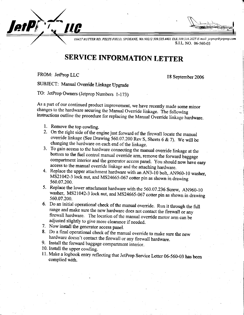I

E6427 RUTTER RD, FELTS FIELD, SPOKANE, WA 99212 509.535.4401 FAX 509.534.2025 E-mail: jetprop@jetprop.cc S.I.L. NO. 06-560-03

## SERVICE INFORMATION LETTER

FROM: JetProp LLC

/ letPCT. LLC

18 September 2006

SUBJECT: Manual Ovenide Linkage Upgrade

TO: JetProp Owners (Jetprop Numbers l-173)

As a part of our continued product improvement, we have recently made some minor changes to the hardware securing the Manual Override linkage. The following instructions outline the procedure for replacing the Manual Overr

- 1. Remove the top cowling.
- override linkage (See Drawing 560.07.200 Rev S, Sheets 6 & 7). We will be changing the hardware on each end of the linkage. 2. On the right side of the engine just forward of the firewall locate the manual
- bottom to the fuel control manual override arm, remove the forward baggage compartment interior and the generator access panel. You should now have easy access to the manual override linkage and the attaching hardware. 3. To gain access to the hardware connecting the manual override linkage at the
- $M\ddot{S}21042-3$  lock nut, and MS24665-067 cotter pin as shown in drawing 560.07.200. 4. Replace the upper attachment hardware with an AN3-10 bolt, AN960-10 washer,
- washer, MS21042-3 lock nut, and MS24665-067 cotter pin as shown in drawing 560.07.200. 5. Replace the lower attachment hardware with the 560.07.236 Screw, AN960-10
- Do an initial operational check of the manual override. Run it through the full<br>range and make sure the name had range and make sure the new hardware does not contact the firewall or any firewall hardware. The location of the manual override motor arm can be adjusted slightly to give more clearance if needed.
- 7. Now install the generator access panel.
- 8. Do a final operational check of the manual override to make sure the new hardware doesn't contact the firewall or any firewall hardware.
- 9. Install the forward baggage compartment interior.
- 10. Install the upper cowling.
- 11. Make a logbook entry reflecting that JetProp Service Letter 06-560-03 has been complied with.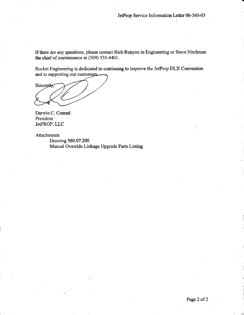If there are any questions, please contact Rich Runyon in Engineering or Steve Nitchman the chief of maintenance at (509) 535-4401.

Rocket Engineering is dedicated to continuing to improve the JetProp DLX Conversion and to supporting our customers.

Sincerely,

Darwin C. Conrad President JetPROP, LLC

Attachments

Drawing 560.07.200 Manual Override Linkage Upgrade Parts Listing

.d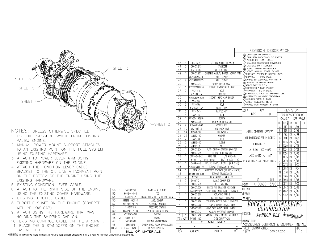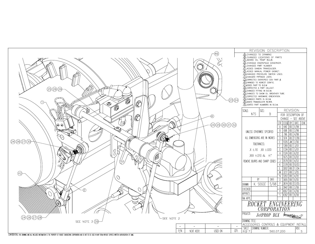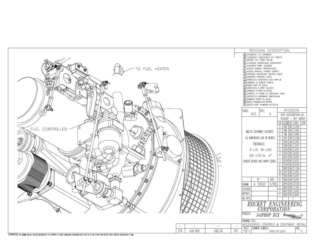